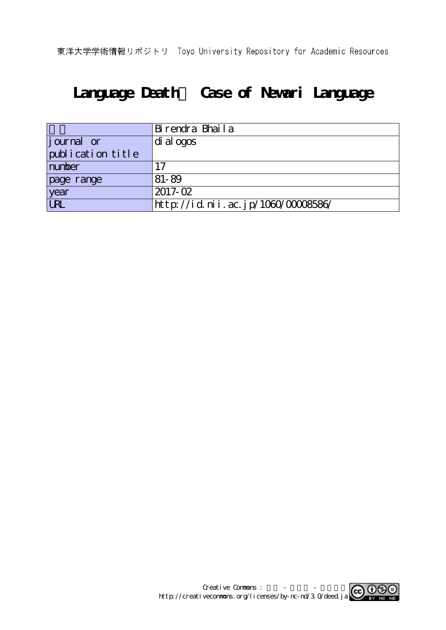# **Language Death~ Case of Newari Language**

|                                  | Birendra Bhaila                    |
|----------------------------------|------------------------------------|
| $\left  \text{j our} \right $ or | di al ogos                         |
| publication title                |                                    |
| number                           |                                    |
| page range                       | 81-89                              |
| year                             | $2017 - 02$                        |
| <b>URL</b>                       | http://id.nii.ac.jp/1060/00008586/ |

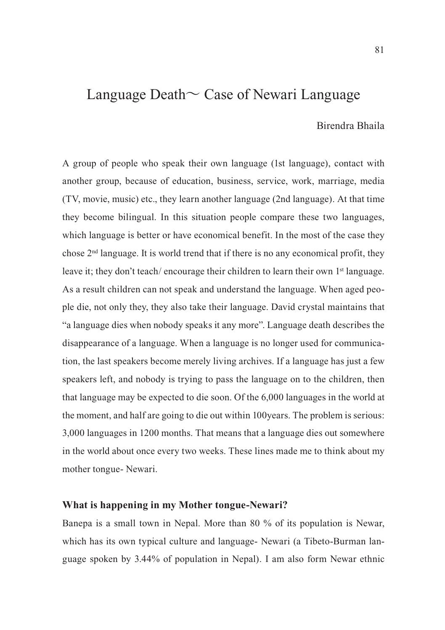# Language Death〜 Case of Newari Language

# Birendra Bhaila

A group of people who speak their own language (1st language), contact with another group, because of education, business, service, work, marriage, media (TV, movie, music) etc., they learn another language (2nd language). At that time they become bilingual. In this situation people compare these two languages, which language is better or have economical benefit. In the most of the case they chose 2nd language. It is world trend that if there is no any economical profit, they leave it; they don't teach/ encourage their children to learn their own 1<sup>st</sup> language. As a result children can not speak and understand the language. When aged people die, not only they, they also take their language. David crystal maintains that "a language dies when nobody speaks it any more". Language death describes the disappearance of a language. When a language is no longer used for communication, the last speakers become merely living archives. If a language has just a few speakers left, and nobody is trying to pass the language on to the children, then that language may be expected to die soon. Of the 6,000 languages in the world at the moment, and half are going to die out within 100years. The problem is serious: 3,000 languages in 1200 months. That means that a language dies out somewhere in the world about once every two weeks. These lines made me to think about my mother tongue- Newari.

## **What is happening in my Mother tongue-Newari?**

Banepa is a small town in Nepal. More than 80 % of its population is Newar, which has its own typical culture and language- Newari (a Tibeto-Burman language spoken by 3.44% of population in Nepal). I am also form Newar ethnic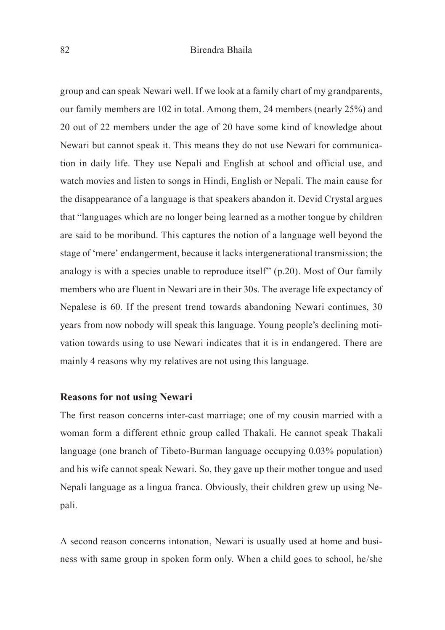### 82 Birendra Bhaila

group and can speak Newari well. If we look at a family chart of my grandparents, our family members are 102 in total. Among them, 24 members (nearly 25%) and 20 out of 22 members under the age of 20 have some kind of knowledge about Newari but cannot speak it. This means they do not use Newari for communication in daily life. They use Nepali and English at school and official use, and watch movies and listen to songs in Hindi, English or Nepali. The main cause for the disappearance of a language is that speakers abandon it. Devid Crystal argues that "languages which are no longer being learned as a mother tongue by children are said to be moribund. This captures the notion of a language well beyond the stage of 'mere' endangerment, because it lacks intergenerational transmission; the analogy is with a species unable to reproduce itself" (p.20). Most of Our family members who are fluent in Newari are in their 30s. The average life expectancy of Nepalese is 60. If the present trend towards abandoning Newari continues, 30 years from now nobody will speak this language. Young people's declining motivation towards using to use Newari indicates that it is in endangered. There are mainly 4 reasons why my relatives are not using this language.

#### **Reasons for not using Newari**

The first reason concerns inter-cast marriage; one of my cousin married with a woman form a different ethnic group called Thakali. He cannot speak Thakali language (one branch of Tibeto-Burman language occupying 0.03% population) and his wife cannot speak Newari. So, they gave up their mother tongue and used Nepali language as a lingua franca. Obviously, their children grew up using Nepali.

A second reason concerns intonation, Newari is usually used at home and business with same group in spoken form only. When a child goes to school, he/she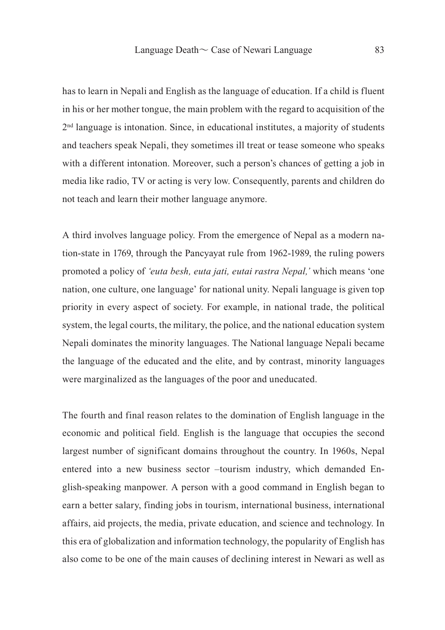has to learn in Nepali and English as the language of education. If a child is fluent in his or her mother tongue, the main problem with the regard to acquisition of the 2nd language is intonation. Since, in educational institutes, a majority of students and teachers speak Nepali, they sometimes ill treat or tease someone who speaks with a different intonation. Moreover, such a person's chances of getting a job in media like radio, TV or acting is very low. Consequently, parents and children do not teach and learn their mother language anymore.

A third involves language policy. From the emergence of Nepal as a modern nation-state in 1769, through the Pancyayat rule from 1962-1989, the ruling powers promoted a policy of *'euta besh, euta jati, eutai rastra Nepal,'* which means 'one nation, one culture, one language' for national unity. Nepali language is given top priority in every aspect of society. For example, in national trade, the political system, the legal courts, the military, the police, and the national education system Nepali dominates the minority languages. The National language Nepali became the language of the educated and the elite, and by contrast, minority languages were marginalized as the languages of the poor and uneducated.

The fourth and final reason relates to the domination of English language in the economic and political field. English is the language that occupies the second largest number of significant domains throughout the country. In 1960s, Nepal entered into a new business sector –tourism industry, which demanded English-speaking manpower. A person with a good command in English began to earn a better salary, finding jobs in tourism, international business, international affairs, aid projects, the media, private education, and science and technology. In this era of globalization and information technology, the popularity of English has also come to be one of the main causes of declining interest in Newari as well as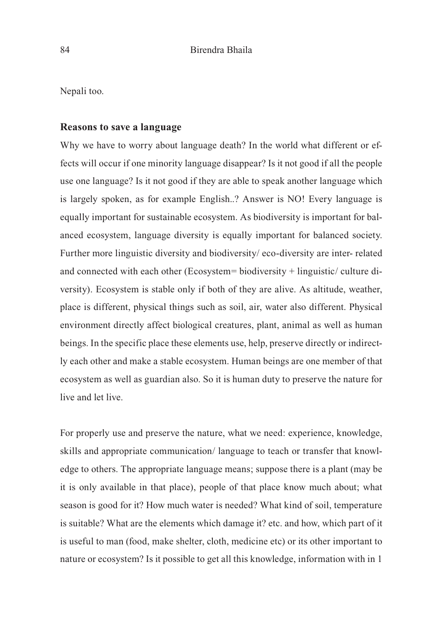Nepali too.

#### **Reasons to save a language**

Why we have to worry about language death? In the world what different or effects will occur if one minority language disappear? Is it not good if all the people use one language? Is it not good if they are able to speak another language which is largely spoken, as for example English..? Answer is NO! Every language is equally important for sustainable ecosystem. As biodiversity is important for balanced ecosystem, language diversity is equally important for balanced society. Further more linguistic diversity and biodiversity/ eco-diversity are inter- related and connected with each other (Ecosystem= biodiversity + linguistic/ culture diversity). Ecosystem is stable only if both of they are alive. As altitude, weather, place is different, physical things such as soil, air, water also different. Physical environment directly affect biological creatures, plant, animal as well as human beings. In the specific place these elements use, help, preserve directly or indirectly each other and make a stable ecosystem. Human beings are one member of that ecosystem as well as guardian also. So it is human duty to preserve the nature for live and let live.

For properly use and preserve the nature, what we need: experience, knowledge, skills and appropriate communication/ language to teach or transfer that knowledge to others. The appropriate language means; suppose there is a plant (may be it is only available in that place), people of that place know much about; what season is good for it? How much water is needed? What kind of soil, temperature is suitable? What are the elements which damage it? etc. and how, which part of it is useful to man (food, make shelter, cloth, medicine etc) or its other important to nature or ecosystem? Is it possible to get all this knowledge, information with in 1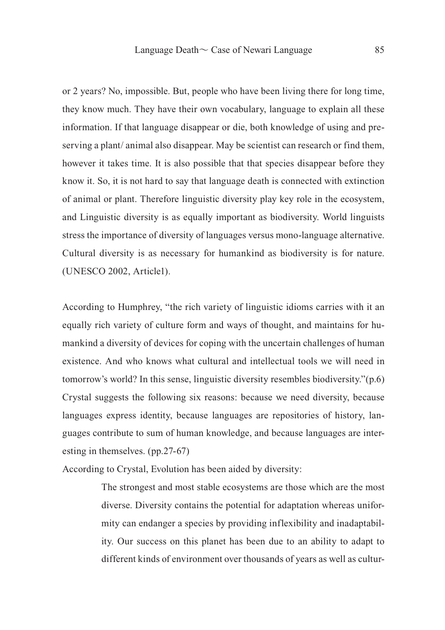or 2 years? No, impossible. But, people who have been living there for long time, they know much. They have their own vocabulary, language to explain all these information. If that language disappear or die, both knowledge of using and preserving a plant/ animal also disappear. May be scientist can research or find them, however it takes time. It is also possible that that species disappear before they know it. So, it is not hard to say that language death is connected with extinction of animal or plant. Therefore linguistic diversity play key role in the ecosystem, and Linguistic diversity is as equally important as biodiversity. World linguists stress the importance of diversity of languages versus mono-language alternative. Cultural diversity is as necessary for humankind as biodiversity is for nature. (UNESCO 2002, Article1).

According to Humphrey, "the rich variety of linguistic idioms carries with it an equally rich variety of culture form and ways of thought, and maintains for humankind a diversity of devices for coping with the uncertain challenges of human existence. And who knows what cultural and intellectual tools we will need in tomorrow's world? In this sense, linguistic diversity resembles biodiversity."(p.6) Crystal suggests the following six reasons: because we need diversity, because languages express identity, because languages are repositories of history, languages contribute to sum of human knowledge, and because languages are interesting in themselves. (pp.27-67)

According to Crystal, Evolution has been aided by diversity:

The strongest and most stable ecosystems are those which are the most diverse. Diversity contains the potential for adaptation whereas uniformity can endanger a species by providing inflexibility and inadaptability. Our success on this planet has been due to an ability to adapt to different kinds of environment over thousands of years as well as cultur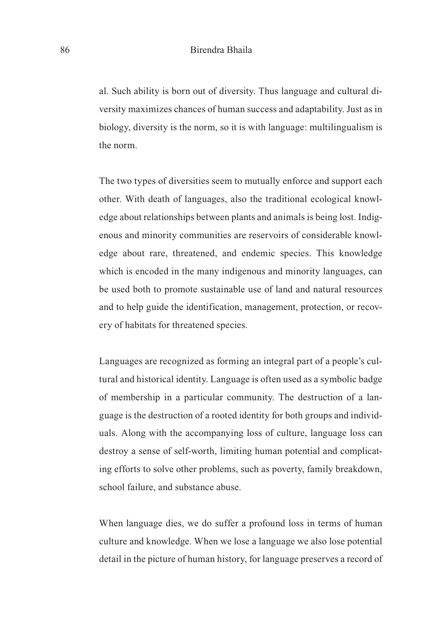al. Such ability is born out of diversity. Thus language and cultural diversity maximizes chances of human success and adaptability. Just as in biology, diversity is the norm, so it is with language: multilingualism is the norm.

The two types of diversities seem to mutually enforce and support each other. With death of languages, also the traditional ecological knowledge about relationships between plants and animals is being lost. Indigenous and minority communities are reservoirs of considerable knowledge about rare, threatened, and endemic species. This knowledge which is encoded in the many indigenous and minority languages, can be used both to promote sustainable use of land and natural resources and to help guide the identification, management, protection, or recovery of habitats for threatened species.

Languages are recognized as forming an integral part of a people's cultural and historical identity. Language is often used as a symbolic badge of membership in a particular community. The destruction of a language is the destruction of a rooted identity for both groups and individuals. Along with the accompanying loss of culture, language loss can destroy a sense of self-worth, limiting human potential and complicating efforts to solve other problems, such as poverty, family breakdown, school failure, and substance abuse.

When language dies, we do suffer a profound loss in terms of human culture and knowledge. When we lose a language we also lose potential detail in the picture of human history, for language preserves a record of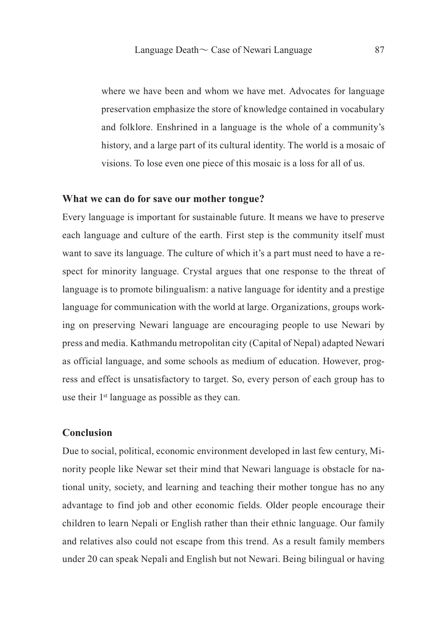where we have been and whom we have met. Advocates for language preservation emphasize the store of knowledge contained in vocabulary and folklore. Enshrined in a language is the whole of a community's history, and a large part of its cultural identity. The world is a mosaic of visions. To lose even one piece of this mosaic is a loss for all of us.

#### **What we can do for save our mother tongue?**

Every language is important for sustainable future. It means we have to preserve each language and culture of the earth. First step is the community itself must want to save its language. The culture of which it's a part must need to have a respect for minority language. Crystal argues that one response to the threat of language is to promote bilingualism: a native language for identity and a prestige language for communication with the world at large. Organizations, groups working on preserving Newari language are encouraging people to use Newari by press and media. Kathmandu metropolitan city (Capital of Nepal) adapted Newari as official language, and some schools as medium of education. However, progress and effect is unsatisfactory to target. So, every person of each group has to use their 1st language as possible as they can.

# **Conclusion**

Due to social, political, economic environment developed in last few century, Minority people like Newar set their mind that Newari language is obstacle for national unity, society, and learning and teaching their mother tongue has no any advantage to find job and other economic fields. Older people encourage their children to learn Nepali or English rather than their ethnic language. Our family and relatives also could not escape from this trend. As a result family members under 20 can speak Nepali and English but not Newari. Being bilingual or having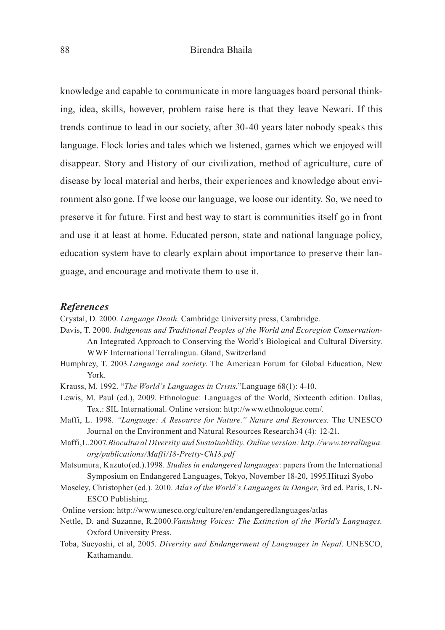knowledge and capable to communicate in more languages board personal thinking, idea, skills, however, problem raise here is that they leave Newari. If this trends continue to lead in our society, after 30-40 years later nobody speaks this language. Flock lories and tales which we listened, games which we enjoyed will disappear. Story and History of our civilization, method of agriculture, cure of disease by local material and herbs, their experiences and knowledge about environment also gone. If we loose our language, we loose our identity. So, we need to preserve it for future. First and best way to start is communities itself go in front and use it at least at home. Educated person, state and national language policy, education system have to clearly explain about importance to preserve their language, and encourage and motivate them to use it.

#### *References*

Crystal, D. 2000. *Language Death*. Cambridge University press, Cambridge.

Davis, T. 2000. *Indigenous and Traditional Peoples of the World and Ecoregion Conservation-*An Integrated Approach to Conserving the World's Biological and Cultural Diversity. WWF International Terralingua. Gland, Switzerland

- Humphrey, T. 2003.*Language and society*. The American Forum for Global Education, New York.
- Krauss, M. 1992. "*The World's Languages in Crisis.*"Language 68(1): 4-10.
- Lewis, M. Paul (ed.), 2009. Ethnologue: Languages of the World, Sixteenth edition. Dallas, Tex.: SIL International. Online version: http://www.ethnologue.com/.
- Maffi, L. 1998. *"Language: A Resource for Nature." Nature and Resources.* The UNESCO Journal on the Environment and Natural Resources Research34 (4): 12-21.
- Maffi,L.2007.*Biocultural Diversity and Sustainability. Online version: http://www.terralingua. org/publications/Maffi/18-Pretty-Ch18.pdf*

Matsumura, Kazuto(ed.).1998. *Studies in endangered languages*: papers from the International Symposium on Endangered Languages, Tokyo, November 18-20, 1995.Hituzi Syobo

- Moseley, Christopher (ed.). 2010. *Atlas of the World's Languages in Danger*, 3rd ed. Paris, UN-ESCO Publishing.
- Online version: http://www.unesco.org/culture/en/endangeredlanguages/atlas
- Nettle, D. and Suzanne, R.2000.*Vanishing Voices: The Extinction of the World's Languages.*  Oxford University Press.
- Toba, Sueyoshi, et al, 2005. *Diversity and Endangerment of Languages in Nepal*. UNESCO, Kathamandu.